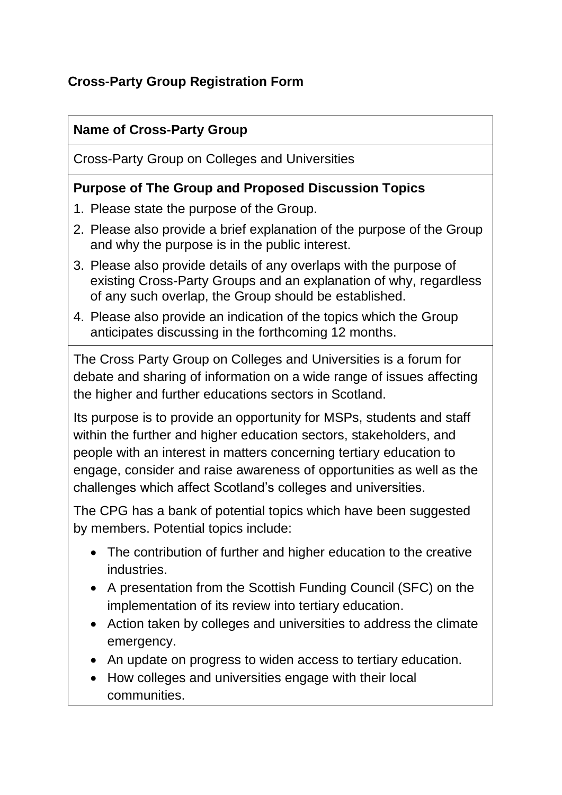# **Cross-Party Group Registration Form**

#### **Name of Cross-Party Group**

Cross-Party Group on Colleges and Universities

#### **Purpose of The Group and Proposed Discussion Topics**

- 1. Please state the purpose of the Group.
- 2. Please also provide a brief explanation of the purpose of the Group and why the purpose is in the public interest.
- 3. Please also provide details of any overlaps with the purpose of existing Cross-Party Groups and an explanation of why, regardless of any such overlap, the Group should be established.
- 4. Please also provide an indication of the topics which the Group anticipates discussing in the forthcoming 12 months.

The Cross Party Group on Colleges and Universities is a forum for debate and sharing of information on a wide range of issues affecting the higher and further educations sectors in Scotland.

Its purpose is to provide an opportunity for MSPs, students and staff within the further and higher education sectors, stakeholders, and people with an interest in matters concerning tertiary education to engage, consider and raise awareness of opportunities as well as the challenges which affect Scotland's colleges and universities.

The CPG has a bank of potential topics which have been suggested by members. Potential topics include:

- The contribution of further and higher education to the creative industries.
- A presentation from the Scottish Funding Council (SFC) on the implementation of its review into tertiary education.
- Action taken by colleges and universities to address the climate emergency.
- An update on progress to widen access to tertiary education.
- How colleges and universities engage with their local communities.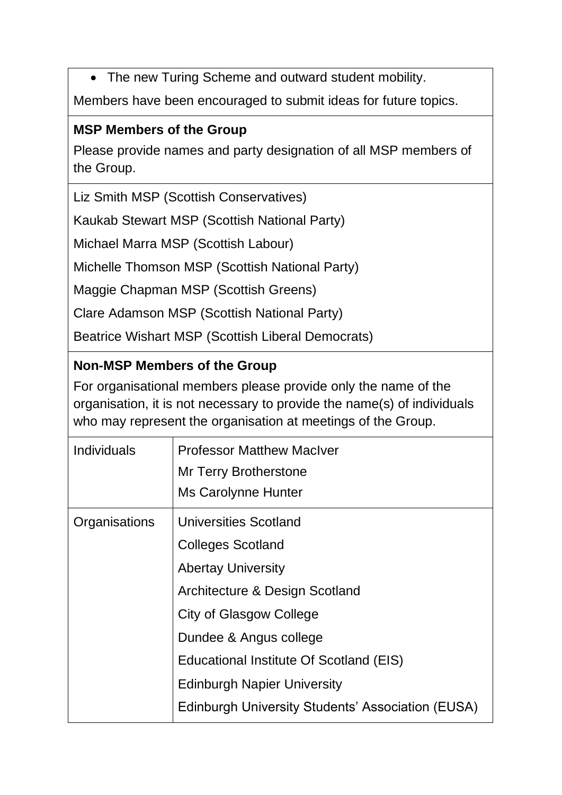• The new Turing Scheme and outward student mobility.

Members have been encouraged to submit ideas for future topics.

### **MSP Members of the Group**

Please provide names and party designation of all MSP members of the Group.

Liz Smith MSP (Scottish Conservatives)

Kaukab Stewart MSP (Scottish National Party)

Michael Marra MSP (Scottish Labour)

Michelle Thomson MSP (Scottish National Party)

Maggie Chapman MSP (Scottish Greens)

Clare Adamson MSP (Scottish National Party)

Beatrice Wishart MSP (Scottish Liberal Democrats)

# **Non-MSP Members of the Group**

For organisational members please provide only the name of the organisation, it is not necessary to provide the name(s) of individuals who may represent the organisation at meetings of the Group.

| Individuals   | <b>Professor Matthew MacIver</b><br>Mr Terry Brotherstone<br>Ms Carolynne Hunter |
|---------------|----------------------------------------------------------------------------------|
| Organisations | <b>Universities Scotland</b>                                                     |
|               | <b>Colleges Scotland</b>                                                         |
|               | <b>Abertay University</b>                                                        |
|               | Architecture & Design Scotland                                                   |
|               | <b>City of Glasgow College</b>                                                   |
|               | Dundee & Angus college                                                           |
|               | Educational Institute Of Scotland (EIS)                                          |
|               | <b>Edinburgh Napier University</b>                                               |
|               | <b>Edinburgh University Students' Association (EUSA)</b>                         |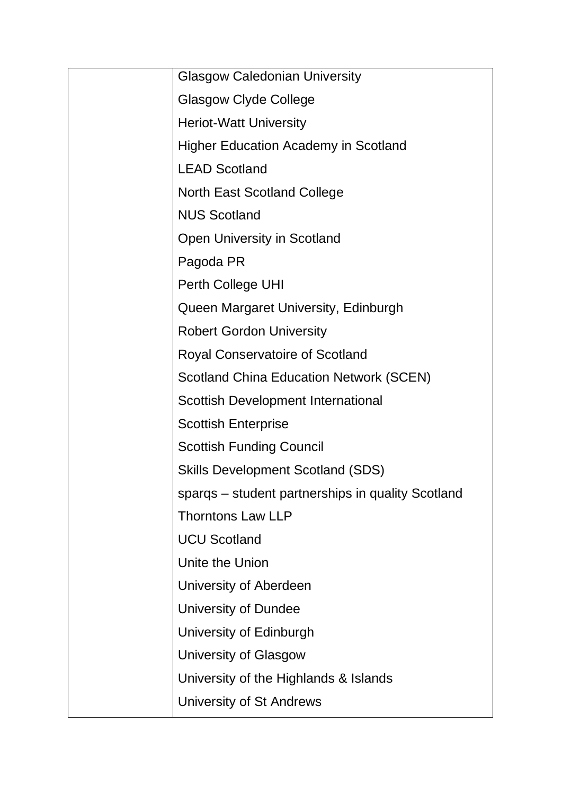| <b>Glasgow Caledonian University</b>              |
|---------------------------------------------------|
| <b>Glasgow Clyde College</b>                      |
| <b>Heriot-Watt University</b>                     |
| <b>Higher Education Academy in Scotland</b>       |
| <b>LEAD Scotland</b>                              |
| <b>North East Scotland College</b>                |
| <b>NUS Scotland</b>                               |
| Open University in Scotland                       |
| Pagoda PR                                         |
| Perth College UHI                                 |
| Queen Margaret University, Edinburgh              |
| <b>Robert Gordon University</b>                   |
| <b>Royal Conservatoire of Scotland</b>            |
| <b>Scotland China Education Network (SCEN)</b>    |
| Scottish Development International                |
| <b>Scottish Enterprise</b>                        |
| <b>Scottish Funding Council</b>                   |
| <b>Skills Development Scotland (SDS)</b>          |
| sparqs - student partnerships in quality Scotland |
| <b>Thorntons Law LLP</b>                          |
| <b>UCU Scotland</b>                               |
| Unite the Union                                   |
| University of Aberdeen                            |
| University of Dundee                              |
| University of Edinburgh                           |
| <b>University of Glasgow</b>                      |
| University of the Highlands & Islands             |
| University of St Andrews                          |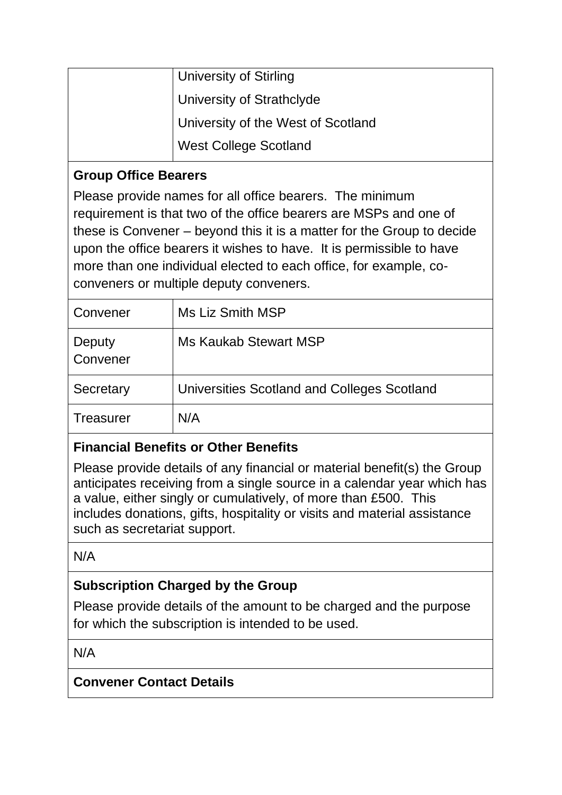| <b>University of Stirling</b>      |
|------------------------------------|
| University of Strathclyde          |
| University of the West of Scotland |
| <b>West College Scotland</b>       |

#### **Group Office Bearers**

Please provide names for all office bearers. The minimum requirement is that two of the office bearers are MSPs and one of these is Convener – beyond this it is a matter for the Group to decide upon the office bearers it wishes to have. It is permissible to have more than one individual elected to each office, for example, coconveners or multiple deputy conveners.

| Convener           | Ms Liz Smith MSP                            |
|--------------------|---------------------------------------------|
| Deputy<br>Convener | Ms Kaukab Stewart MSP                       |
| Secretary          | Universities Scotland and Colleges Scotland |
| Treasurer          | N/A                                         |

# **Financial Benefits or Other Benefits**

Please provide details of any financial or material benefit(s) the Group anticipates receiving from a single source in a calendar year which has a value, either singly or cumulatively, of more than £500. This includes donations, gifts, hospitality or visits and material assistance such as secretariat support.

N/A

# **Subscription Charged by the Group**

Please provide details of the amount to be charged and the purpose for which the subscription is intended to be used.

N/A

#### **Convener Contact Details**